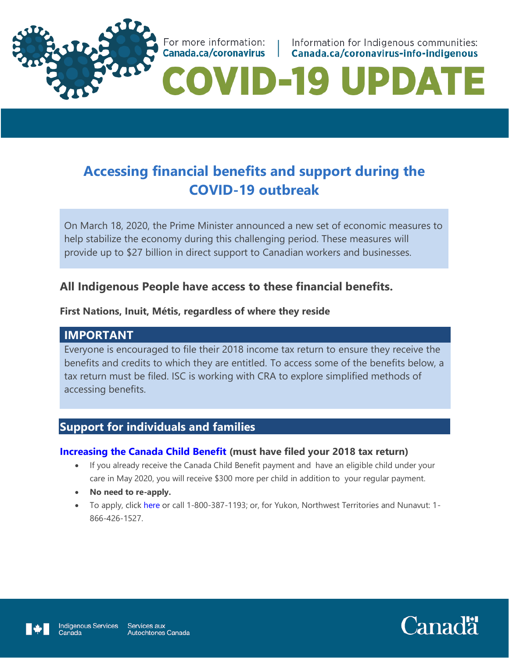

Information for Indigenous communities: Canada.ca/coronavirus-info-indigenous

# **ID-19 UPDAT**

# **Accessing financial benefits and support during the COVID-19 outbreak**

On March 18, 2020, the Prime Minister announced a new set of economic measures to help stabilize the economy during this challenging period. These measures will provide up to \$27 billion in direct support to Canadian workers and businesses.

# **All Indigenous People have access to these financial benefits.**

For more information:

Canada.ca/coronavirus |

#### **First Nations, Inuit, Métis, regardless of where they reside**

#### **IMPORTANT**

Everyone is encouraged to file their 2018 income tax return to ensure they receive the benefits and credits to which they are entitled. To access some of the benefits below, a tax return must be filed. ISC is working with CRA to explore simplified methods of accessing benefits.

# **Support for individuals and families**

#### **[Increasing the Canada Child Benefit](https://www.canada.ca/en/revenue-agency/services/child-family-benefits/canada-child-benefit-overview.html) (must have filed your 2018 tax return)**

- If you already receive the Canada Child Benefit payment and have an eligible child under your care in May 2020, you will receive \$300 more per child in addition to your regular payment.
- **No need to re-apply.**
- To apply, click [here](https://www.canada.ca/en/revenue-agency/services/child-family-benefits/canada-child-benefit-overview/canada-child-benefit-apply.html) or call 1-800-387-1193; or, for Yukon, Northwest Territories and Nunavut: 1- 866-426-1527.



Canada

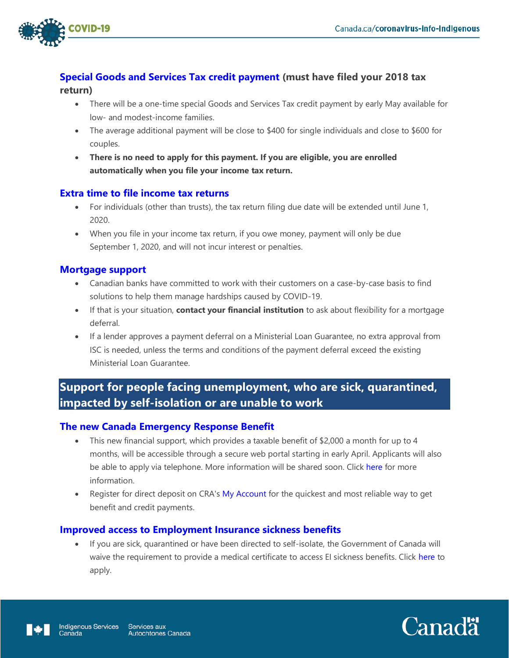

#### **[Special Goods and Services Tax credit payment](https://www.canada.ca/en/revenue-agency/services/child-family-benefits/gsthstc-apply.html) (must have filed your 2018 tax return)**

- There will be a one-time special [Goods and Services Tax credit](https://www.canada.ca/en/revenue-agency/services/child-family-benefits/gsthstc-eligibility.html) payment by early May available for low- and modest-income families.
- The average additional payment will be close to \$400 for single individuals and close to \$600 for couples.
- **There is no need to apply for this payment. If you are eligible, you are enrolled automatically when you file your income tax return.**

#### **[Extra time to file income tax returns](https://www.canada.ca/en/revenue-agency/campaigns/covid-19-update/covid-19-filing-payment-dates.html)**

- For individuals (other than trusts), the tax return filing due date will be extended until June 1, 2020.
- When you file in your income tax return, if you owe money, payment will only be due September 1, 2020, and will not incur interest or penalties.

#### **[Mortgage support](https://cba.ca/mortgage-deferral-to-help-canadians-experiencing-financial-hardship-due-to-covid-19)**

- Canadian banks have committed to work with their customers on a case-by-case basis to find solutions to help them manage hardships caused by COVID-19.
- If that is your situation, **contact your financial institution** to ask about flexibility for a mortgage deferral.
- If a lender approves a payment deferral on a Ministerial Loan Guarantee, no extra approval from ISC is needed, unless the terms and conditions of the payment deferral exceed the existing Ministerial Loan Guarantee.

# **Support for people facing unemployment, who are sick, quarantined, impacted by self-isolation or are unable to work**

#### **[The new Canada Emergency Response Benefit](https://www.canada.ca/en/department-finance/economic-response-plan/covid19-individuals.html#new_canada_emergency_response_benefit)**

- This new financial support, which provides a taxable benefit of \$2,000 a month for up to 4 months, will be accessible through a secure web portal starting in early April. Applicants will also be able to apply via telephone. More information will be shared soon. Click [here](https://www.canada.ca/en/department-finance/economic-response-plan/covid19-individuals.html#new_canada_emergency_response_benefit) for more information.
- Register for direct deposit on CRA's [My Account](https://www.canada.ca/en/revenue-agency/services/e-services/e-services-individuals/account-individuals.html) for the quickest and most reliable way to get benefit and credit payments.

#### **[Improved access to Employment Insurance sickness](https://www.canada.ca/en/services/benefits/ei/ei-sickness.html) benefits**

 If you are sick, quarantined or have been directed to self-isolate, the Government of Canada will waive the requirement to provide a medical certificate to access EI sickness benefits. Click [here](https://www.canada.ca/en/services/benefits/ei/ei-sickness.html) to apply.



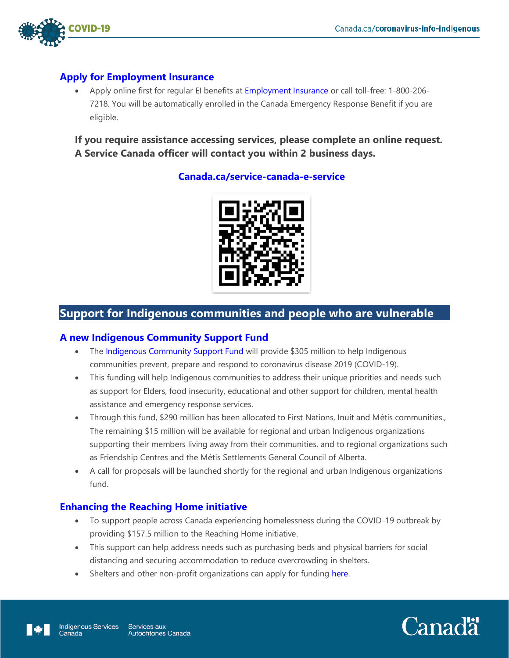

#### **[Apply for Employment Insurance](https://www.canada.ca/en/services/benefits/ei/ei-regular-benefit/eligibility.html)**

• Apply online first for regular EI benefits at [Employment Insurance](https://srv270.hrdc-drhc.gc.ca/AW/introduction?GoCTemplateCulture=en-CA) or call toll-free: 1-800-206-7218. You will be automatically enrolled in the Canada Emergency Response Benefit if you are eligible.

**If you require assistance accessing services, please complete an online request. A Service Canada officer will contact you within 2 business days.**

#### **[Canada.ca/service-canada-e-service](https://sr-ds.powerappsportals.com/caseintakeen/)**



# **Support for Indigenous communities and people who are vulnerable**

#### **[A new Indigenous Community Support Fund](https://www.sac-isc.gc.ca/eng/1585189335380/1585189357198)**

- The [Indigenous Community Support Fund](https://www.sac-isc.gc.ca/eng/1585189335380/1585189357198) will provide \$305 million to help Indigenous communities prevent, prepare and respond to coronavirus disease 2019 (COVID-19).
- This funding will help Indigenous communities to address their unique priorities and needs such as support for Elders, food insecurity, educational and other support for children, mental health assistance and emergency response services.
- Through this fund, \$290 million has been allocated to First Nations, Inuit and Métis communities., The remaining \$15 million will be available for regional and urban Indigenous organizations supporting their members living away from their communities, and to regional organizations such as Friendship Centres and the Métis Settlements General Council of Alberta.
- A call for proposals will be launched shortly for the regional and urban Indigenous organizations fund.

#### **[Enhancing the Reaching Home initiative](https://www.canada.ca/en/employment-social-development/programs/homelessness.html)**

- To support people across Canada experiencing homelessness during the COVID-19 outbreak by providing \$157.5 million to the Reaching Home initiative.
- This support can help address needs such as purchasing beds and physical barriers for social distancing and securing accommodation to reduce overcrowding in shelters.
- Shelters and other non-profit organizations can apply for funding [here.](https://www.canada.ca/en/employment-social-development/services/funding/homeless.html)



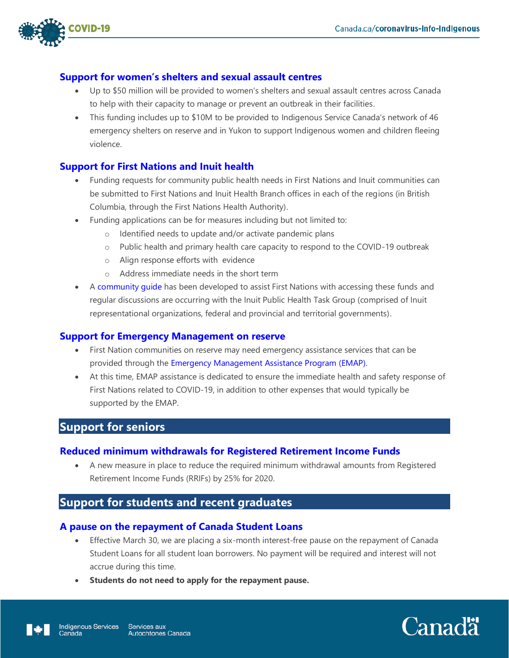

#### **[Support for women's shelters](https://www.canada.ca/en/department-finance/economic-response-plan/covid19-individuals.html#support_women_shelters_and_sexual_assault_centers) and sexual assault centres**

- Up to \$50 million will be provided to women's shelters and sexual assault centres across Canada to help with their capacity to manage or prevent an outbreak in their facilities.
- This funding includes up to \$10M to be provided to Indigenous Service Canada's network of 46 emergency shelters on reserve and in Yukon to support Indigenous women and children fleeing violence.

#### **[Support for First Nations and Inuit health](https://www.sac-isc.gc.ca/eng/1584819394157/1584819418553)**

- Funding requests for community public health needs in First Nations and Inuit communities can be submitted to First Nations and Inuit Health Branch offices in each of the regions (in British Columbia, through the First Nations Health Authority).
- Funding applications can be for measures including but not limited to:
	- o Identified needs to update and/or activate pandemic plans
	- o Public health and primary health care capacity to respond to the COVID-19 outbreak
	- o Align response efforts with evidence
	- o Address immediate needs in the short term
- A [community guide](https://www.sac-isc.gc.ca/eng/1584819394157/1584819418553) has been developed to assist First Nations with accessing these funds and regular discussions are occurring with the Inuit Public Health Task Group (comprised of Inuit representational organizations, federal and provincial and territorial governments).

#### **[Support for Emergency Management](https://www.sac-isc.gc.ca/eng/1534954090122/1535120506707) on reserve**

- First Nation communities on reserve may need emergency assistance services that can be provided through the [Emergency Management Assistance Program](https://www.sac-isc.gc.ca/eng/1534954090122/1535120506707) (EMAP).
- At this time, EMAP assistance is dedicated to ensure the immediate health and safety response of First Nations related to COVID-19, in addition to other expenses that would typically be supported by the EMAP.

### **Support for seniors**

#### **[Reduced minimum withdrawals for Registered Retirement Income Funds](https://www.canada.ca/en/department-finance/economic-response-plan/covid19-individuals.html#eased_rules_registered_retirement_income_funds)**

 A new measure in place to reduce the required minimum withdrawal amounts from Registered Retirement Income Funds (RRIFs) by 25% for 2020.

## **Support for students and recent graduates**

#### **A pause on [the repayment of Canada Student Loans](https://www.canada.ca/en/department-finance/economic-response-plan/covid19-individuals.html#eased_rules_registered_retirement_income_funds)**

- Effective March 30, we are placing a six-month interest-free pause on the repayment of Canada Student Loans for all student loan borrowers. No payment will be required and interest will not accrue during this time.
- **Students do not need to apply for the repayment pause.**